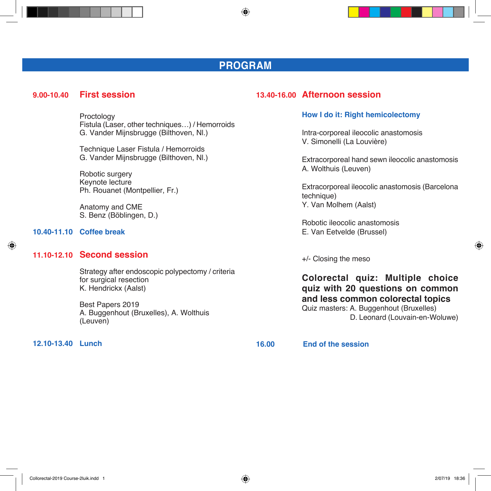## **PROGRAM**

◈

### **9.00-10.40 First session**

 Proctology Fistula (Laser, other techniques…) / Hemorroids G. Vander Mijnsbrugge (Bilthoven, Nl.)

 Technique Laser Fistula / Hemorroids G. Vander Mijnsbrugge (Bilthoven, Nl.)

 Robotic surgery Keynote lecture Ph. Rouanet (Montpellier, Fr.)

 Anatomy and CME S. Benz (Böblingen, D.)

#### **10.40-11.10 Coffee break**

⊕

### **11.10-12.10 Second session**

 Strategy after endoscopic polypectomy / criteria for surgical resection K. Hendrickx (Aalst)

 Best Papers 2019 A. Buggenhout (Bruxelles), A. Wolthuis (Leuven)

#### **12.10-13.40 Lunch**

### **13.40-16.00 Afternoon session**

#### **How I do it: Right hemicolectomy**

 Intra-corporeal ileocolic anastomosis V. Simonelli (La Louvière)

 Extracorporeal hand sewn ileocolic anastomosis A. Wolthuis (Leuven)

 Extracorporeal ileocolic anastomosis (Barcelona technique) Y. Van Molhem (Aalst)

 Robotic ileocolic anastomosis E. Van Eetvelde (Brussel)

+/- Closing the meso

 **Colorectal quiz: Multiple choice quiz with 20 questions on common and less common colorectal topics** Quiz masters: A. Buggenhout (Bruxelles) D. Leonard (Louvain-en-Woluwe)

**16.00 End of the session**

◈